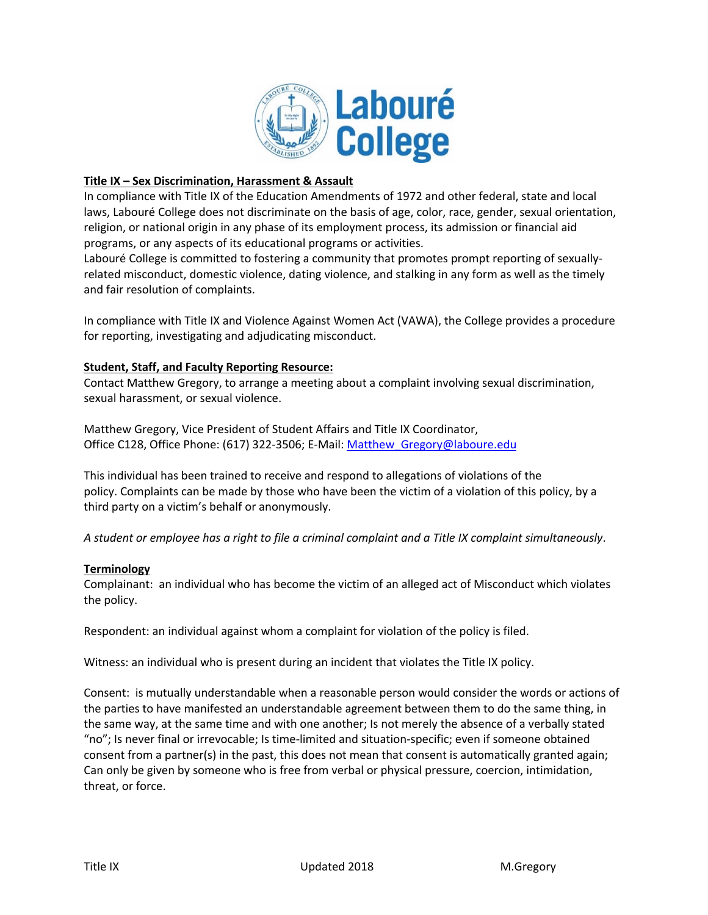

# **Title IX – Sex Discrimination, Harassment & Assault**

In compliance with Title IX of the Education Amendments of 1972 and other federal, state and local laws, Labouré College does not discriminate on the basis of age, color, race, gender, sexual orientation, religion, or national origin in any phase of its employment process, its admission or financial aid programs, or any aspects of its educational programs or activities.

Labouré College is committed to fostering a community that promotes prompt reporting of sexuallyrelated misconduct, domestic violence, dating violence, and stalking in any form as well as the timely and fair resolution of complaints.

In compliance with Title IX and Violence Against Women Act (VAWA), the College provides a procedure for reporting, investigating and adjudicating misconduct.

# **Student, Staff, and Faculty Reporting Resource:**

Contact Matthew Gregory, to arrange a meeting about a complaint involving sexual discrimination, sexual harassment, or sexual violence.

Matthew Gregory, Vice President of Student Affairs and Title IX Coordinator, Office C128, Office Phone: (617) 322-3506; E-Mail: Matthew Gregory@laboure.edu

This individual has been trained to receive and respond to allegations of violations of the policy. Complaints can be made by those who have been the victim of a violation of this policy, by a third party on a victim's behalf or anonymously.

*A student or employee has a right to file a criminal complaint and a Title IX complaint simultaneously*.

# **Terminology**

Complainant: an individual who has become the victim of an alleged act of Misconduct which violates the policy.

Respondent: an individual against whom a complaint for violation of the policy is filed.

Witness: an individual who is present during an incident that violates the Title IX policy.

Consent: is mutually understandable when a reasonable person would consider the words or actions of the parties to have manifested an understandable agreement between them to do the same thing, in the same way, at the same time and with one another; Is not merely the absence of a verbally stated "no"; Is never final or irrevocable; Is time-limited and situation-specific; even if someone obtained consent from a partner(s) in the past, this does not mean that consent is automatically granted again; Can only be given by someone who is free from verbal or physical pressure, coercion, intimidation, threat, or force.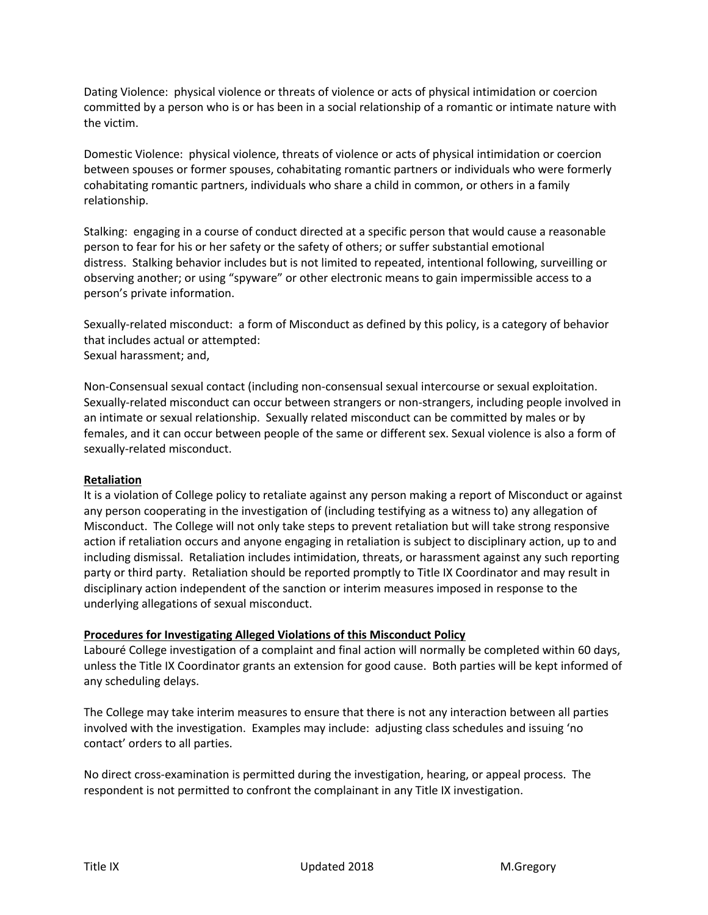Dating Violence: physical violence or threats of violence or acts of physical intimidation or coercion committed by a person who is or has been in a social relationship of a romantic or intimate nature with the victim.

Domestic Violence: physical violence, threats of violence or acts of physical intimidation or coercion between spouses or former spouses, cohabitating romantic partners or individuals who were formerly cohabitating romantic partners, individuals who share a child in common, or others in a family relationship.

Stalking: engaging in a course of conduct directed at a specific person that would cause a reasonable person to fear for his or her safety or the safety of others; or suffer substantial emotional distress. Stalking behavior includes but is not limited to repeated, intentional following, surveilling or observing another; or using "spyware" or other electronic means to gain impermissible access to a person's private information.

Sexually-related misconduct: a form of Misconduct as defined by this policy, is a category of behavior that includes actual or attempted: Sexual harassment; and,

Non-Consensual sexual contact (including non-consensual sexual intercourse or sexual exploitation. Sexually-related misconduct can occur between strangers or non-strangers, including people involved in an intimate or sexual relationship. Sexually related misconduct can be committed by males or by females, and it can occur between people of the same or different sex. Sexual violence is also a form of sexually-related misconduct.

# **Retaliation**

It is a violation of College policy to retaliate against any person making a report of Misconduct or against any person cooperating in the investigation of (including testifying as a witness to) any allegation of Misconduct. The College will not only take steps to prevent retaliation but will take strong responsive action if retaliation occurs and anyone engaging in retaliation is subject to disciplinary action, up to and including dismissal. Retaliation includes intimidation, threats, or harassment against any such reporting party or third party. Retaliation should be reported promptly to Title IX Coordinator and may result in disciplinary action independent of the sanction or interim measures imposed in response to the underlying allegations of sexual misconduct.

# **Procedures for Investigating Alleged Violations of this Misconduct Policy**

Labouré College investigation of a complaint and final action will normally be completed within 60 days, unless the Title IX Coordinator grants an extension for good cause. Both parties will be kept informed of any scheduling delays.

The College may take interim measures to ensure that there is not any interaction between all parties involved with the investigation. Examples may include: adjusting class schedules and issuing 'no contact' orders to all parties.

No direct cross-examination is permitted during the investigation, hearing, or appeal process. The respondent is not permitted to confront the complainant in any Title IX investigation.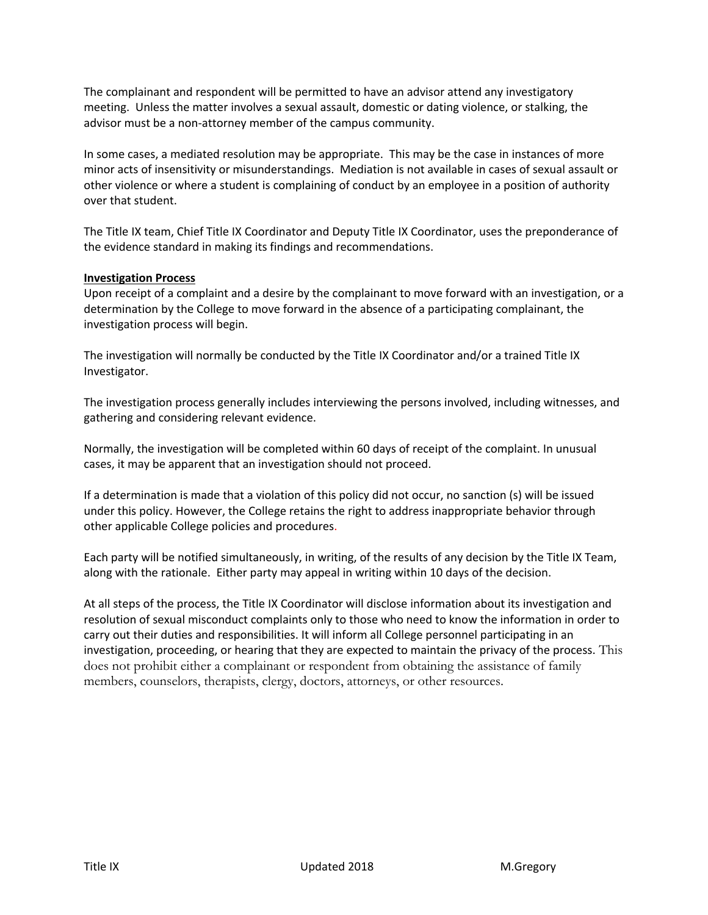The complainant and respondent will be permitted to have an advisor attend any investigatory meeting. Unless the matter involves a sexual assault, domestic or dating violence, or stalking, the advisor must be a non-attorney member of the campus community.

In some cases, a mediated resolution may be appropriate. This may be the case in instances of more minor acts of insensitivity or misunderstandings. Mediation is not available in cases of sexual assault or other violence or where a student is complaining of conduct by an employee in a position of authority over that student.

The Title IX team, Chief Title IX Coordinator and Deputy Title IX Coordinator, uses the preponderance of the evidence standard in making its findings and recommendations.

### **Investigation Process**

Upon receipt of a complaint and a desire by the complainant to move forward with an investigation, or a determination by the College to move forward in the absence of a participating complainant, the investigation process will begin.

The investigation will normally be conducted by the Title IX Coordinator and/or a trained Title IX Investigator.

The investigation process generally includes interviewing the persons involved, including witnesses, and gathering and considering relevant evidence.

Normally, the investigation will be completed within 60 days of receipt of the complaint. In unusual cases, it may be apparent that an investigation should not proceed.

If a determination is made that a violation of this policy did not occur, no sanction (s) will be issued under this policy. However, the College retains the right to address inappropriate behavior through other applicable College policies and procedures.

Each party will be notified simultaneously, in writing, of the results of any decision by the Title IX Team, along with the rationale. Either party may appeal in writing within 10 days of the decision.

At all steps of the process, the Title IX Coordinator will disclose information about its investigation and resolution of sexual misconduct complaints only to those who need to know the information in order to carry out their duties and responsibilities. It will inform all College personnel participating in an investigation, proceeding, or hearing that they are expected to maintain the privacy of the process. This does not prohibit either a complainant or respondent from obtaining the assistance of family members, counselors, therapists, clergy, doctors, attorneys, or other resources.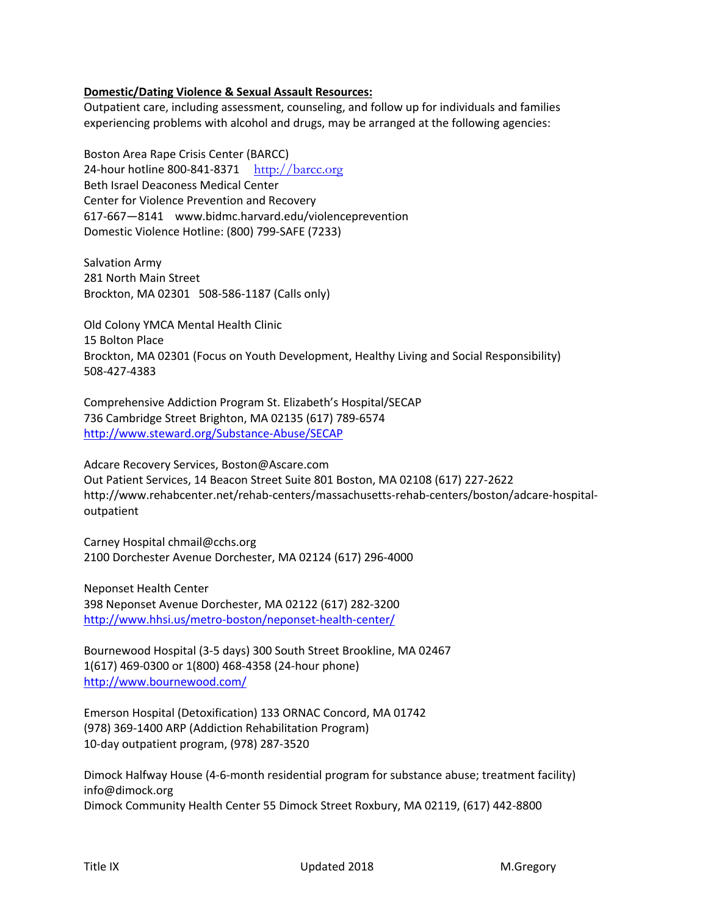# **Domestic/Dating Violence & Sexual Assault Resources:**

Outpatient care, including assessment, counseling, and follow up for individuals and families experiencing problems with alcohol and drugs, may be arranged at the following agencies:

Boston Area Rape Crisis Center (BARCC) 24-hour hotline 800-841-8371 http://barcc.org Beth Israel Deaconess Medical Center Center for Violence Prevention and Recovery 617-667—8141 www.bidmc.harvard.edu/violenceprevention Domestic Violence Hotline: (800) 799-SAFE (7233)

Salvation Army 281 North Main Street Brockton, MA 02301 508-586-1187 (Calls only)

Old Colony YMCA Mental Health Clinic 15 Bolton Place Brockton, MA 02301 (Focus on Youth Development, Healthy Living and Social Responsibility) 508-427-4383

Comprehensive Addiction Program St. Elizabeth's Hospital/SECAP 736 Cambridge Street Brighton, MA 02135 (617) 789-6574 http://www.steward.org/Substance-Abuse/SECAP

Adcare Recovery Services, Boston@Ascare.com Out Patient Services, 14 Beacon Street Suite 801 Boston, MA 02108 (617) 227-2622 http://www.rehabcenter.net/rehab-centers/massachusetts-rehab-centers/boston/adcare-hospitaloutpatient

Carney Hospital chmail@cchs.org 2100 Dorchester Avenue Dorchester, MA 02124 (617) 296-4000

Neponset Health Center 398 Neponset Avenue Dorchester, MA 02122 (617) 282-3200 http://www.hhsi.us/metro-boston/neponset-health-center/

Bournewood Hospital (3-5 days) 300 South Street Brookline, MA 02467 1(617) 469-0300 or 1(800) 468-4358 (24-hour phone) http://www.bournewood.com/

Emerson Hospital (Detoxification) 133 ORNAC Concord, MA 01742 (978) 369-1400 ARP (Addiction Rehabilitation Program) 10-day outpatient program, (978) 287-3520

Dimock Halfway House (4-6-month residential program for substance abuse; treatment facility) info@dimock.org Dimock Community Health Center 55 Dimock Street Roxbury, MA 02119, (617) 442-8800